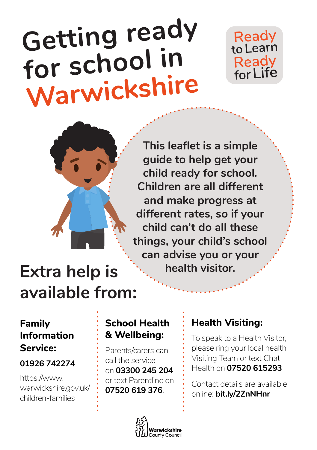# **Getting ready for school in Warwickshire**



**This leaflet is a simple guide to help get your child ready for school. Children are all different and make progress at different rates, so if your child can't do all these things, your child's school can advise you or your health visitor.**

# **Extra help is available from:**

#### **Family Information Service:**

#### **01926 742274**

https://www. warwickshire.gov.uk/ children-families

#### **School Health & Wellbeing:**

Parents/carers can call the service on **03300 245 204** or text Parentline on **07520 619 376**.

#### **Health Visiting:**

To speak to a Health Visitor, please ring your local health Visiting Team or text Chat Health on **07520 615293** 

Ready to learn

Ready<br>for Life

Contact details are available online: **bit.ly/2ZnNHnr**

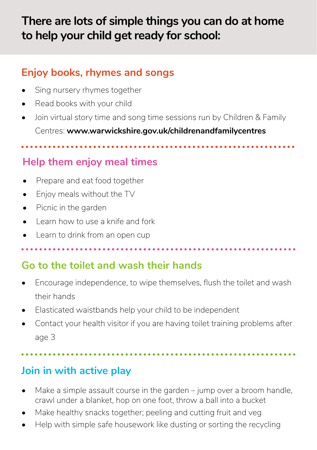# **There are lots of simple things you can do at home to help your child get ready for school:**

#### **Enjoy books, rhymes and songs**

- Sing nursery rhymes together
- Read books with your child
- Join virtual story time and song time sessions run by Children & Family Centres: **www.warwickshire.gov.uk/childrenandfamilycentres**

## **Help them enjoy meal times**

- Prepare and eat food together
- Enjoy meals without the TV
- Picnic in the garden
- Learn how to use a knife and fork
- Learn to drink from an open cup

### **Go to the toilet and wash their hands**

- Encourage independence, to wipe themselves, flush the toilet and wash their hands
- Elasticated waistbands help your child to be independent
- Contact your health visitor if you are having toilet training problems after age 3

### **Join in with active play**

- Make a simple assault course in the garden jump over a broom handle, crawl under a blanket, hop on one foot, throw a ball into a bucket
- Make healthy snacks together; peeling and cutting fruit and veg
- Help with simple safe housework like dusting or sorting the recycling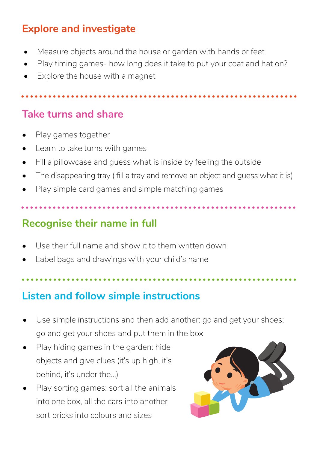#### **Explore and investigate**

- Measure objects around the house or garden with hands or feet
- Play timing games- how long does it take to put your coat and hat on?
- Explore the house with a magnet

#### **Take turns and share**

- Play games together
- Learn to take turns with games
- Fill a pillowcase and guess what is inside by feeling the outside
- The disappearing tray ( fill a tray and remove an object and guess what it is)
- Play simple card games and simple matching games

# **Recognise their name in full**

- Use their full name and show it to them written down
- Label bags and drawings with your child's name

### **Listen and follow simple instructions**

- Use simple instructions and then add another: go and get your shoes; go and get your shoes and put them in the box
- Play hiding games in the garden: hide objects and give clues (it's up high, it's behind, it's under the…)
- Play sorting games: sort all the animals into one box, all the cars into another sort bricks into colours and sizes